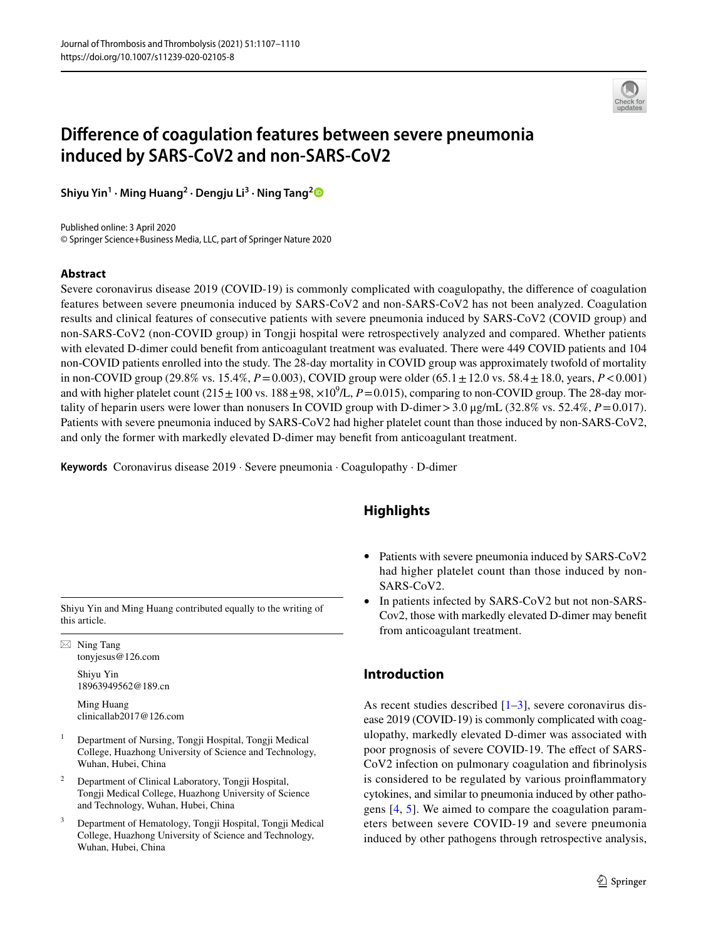

# **Diference of coagulation features between severe pneumonia induced by SARS-CoV2 and non-SARS-CoV2**

**Shiyu Yin1 · Ming Huang2 · Dengju Li3 · Ning Tang[2](http://orcid.org/0000-0003-4702-9399)**

Published online: 3 April 2020 © Springer Science+Business Media, LLC, part of Springer Nature 2020

#### **Abstract**

Severe coronavirus disease 2019 (COVID-19) is commonly complicated with coagulopathy, the diference of coagulation features between severe pneumonia induced by SARS-CoV2 and non-SARS-CoV2 has not been analyzed. Coagulation results and clinical features of consecutive patients with severe pneumonia induced by SARS-CoV2 (COVID group) and non-SARS-CoV2 (non-COVID group) in Tongji hospital were retrospectively analyzed and compared. Whether patients with elevated D-dimer could beneft from anticoagulant treatment was evaluated. There were 449 COVID patients and 104 non-COVID patients enrolled into the study. The 28-day mortality in COVID group was approximately twofold of mortality in non-COVID group (29.8% vs. 15.4%,  $P = 0.003$ ), COVID group were older (65.1 $\pm$ 12.0 vs. 58.4 $\pm$ 18.0, years,  $P < 0.001$ ) and with higher platelet count  $(215 \pm 100 \text{ vs. } 188 \pm 98, \times 10^9/L, P=0.015)$ , comparing to non-COVID group. The 28-day mortality of heparin users were lower than nonusers In COVID group with D-dimer>3.0 μg/mL (32.8% vs. 52.4%, *P*=0.017). Patients with severe pneumonia induced by SARS-CoV2 had higher platelet count than those induced by non-SARS-CoV2, and only the former with markedly elevated D-dimer may beneft from anticoagulant treatment.

**Keywords** Coronavirus disease 2019 · Severe pneumonia · Coagulopathy · D-dimer

Shiyu Yin and Ming Huang contributed equally to the writing of this article.

 $\boxtimes$  Ning Tang tonyjesus@126.com

> Shiyu Yin 18963949562@189.cn

Ming Huang clinicallab2017@126.com

- <sup>1</sup> Department of Nursing, Tongji Hospital, Tongji Medical College, Huazhong University of Science and Technology, Wuhan, Hubei, China
- <sup>2</sup> Department of Clinical Laboratory, Tongji Hospital, Tongji Medical College, Huazhong University of Science and Technology, Wuhan, Hubei, China
- <sup>3</sup> Department of Hematology, Tongji Hospital, Tongji Medical College, Huazhong University of Science and Technology, Wuhan, Hubei, China

# **Highlights**

- Patients with severe pneumonia induced by SARS-CoV2 had higher platelet count than those induced by non-SARS-CoV2.
- In patients infected by SARS-CoV2 but not non-SARS-Cov2, those with markedly elevated D-dimer may beneft from anticoagulant treatment.

# **Introduction**

As recent studies described  $[1-3]$  $[1-3]$ , severe coronavirus disease 2019 (COVID-19) is commonly complicated with coagulopathy, markedly elevated D-dimer was associated with poor prognosis of severe COVID-19. The effect of SARS-CoV2 infection on pulmonary coagulation and fbrinolysis is considered to be regulated by various proinfammatory cytokines, and similar to pneumonia induced by other pathogens [\[4](#page-3-2), [5\]](#page-3-3). We aimed to compare the coagulation parameters between severe COVID-19 and severe pneumonia induced by other pathogens through retrospective analysis,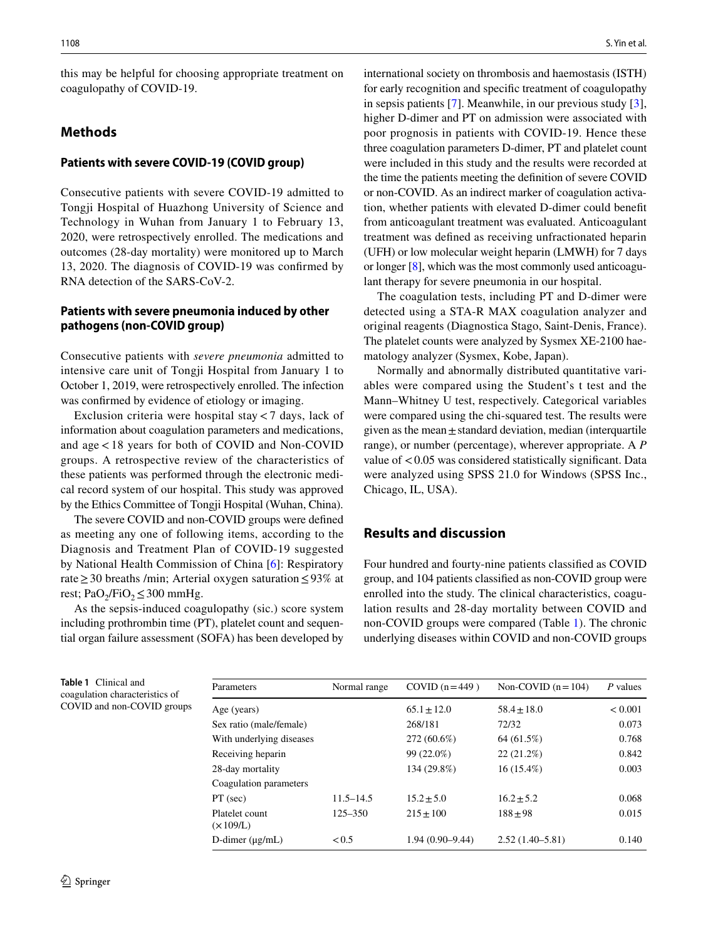this may be helpful for choosing appropriate treatment on coagulopathy of COVID-19.

### **Methods**

#### **Patients with severe COVID‑19 (COVID group)**

Consecutive patients with severe COVID-19 admitted to Tongji Hospital of Huazhong University of Science and Technology in Wuhan from January 1 to February 13, 2020, were retrospectively enrolled. The medications and outcomes (28-day mortality) were monitored up to March 13, 2020. The diagnosis of COVID-19 was confrmed by RNA detection of the SARS-CoV-2.

### **Patients with severe pneumonia induced by other pathogens (non‑COVID group)**

Consecutive patients with *severe pneumonia* admitted to intensive care unit of Tongji Hospital from January 1 to October 1, 2019, were retrospectively enrolled. The infection was confrmed by evidence of etiology or imaging.

Exclusion criteria were hospital stay<7 days, lack of information about coagulation parameters and medications, and age<18 years for both of COVID and Non-COVID groups. A retrospective review of the characteristics of these patients was performed through the electronic medical record system of our hospital. This study was approved by the Ethics Committee of Tongji Hospital (Wuhan, China).

The severe COVID and non-COVID groups were defned as meeting any one of following items, according to the Diagnosis and Treatment Plan of COVID-19 suggested by National Health Commission of China [[6\]](#page-3-4): Respiratory rate≥30 breaths /min; Arterial oxygen saturation≤93% at rest; PaO<sub>2</sub>/FiO<sub>2</sub> ≤ 300 mmHg.

As the sepsis-induced coagulopathy (sic.) score system including prothrombin time (PT), platelet count and sequential organ failure assessment (SOFA) has been developed by

international society on thrombosis and haemostasis (ISTH) for early recognition and specifc treatment of coagulopathy in sepsis patients [[7\]](#page-3-5). Meanwhile, in our previous study [\[3](#page-3-1)], higher D-dimer and PT on admission were associated with poor prognosis in patients with COVID-19. Hence these three coagulation parameters D-dimer, PT and platelet count were included in this study and the results were recorded at the time the patients meeting the defnition of severe COVID or non-COVID. As an indirect marker of coagulation activation, whether patients with elevated D-dimer could beneft from anticoagulant treatment was evaluated. Anticoagulant treatment was defned as receiving unfractionated heparin (UFH) or low molecular weight heparin (LMWH) for 7 days or longer [[8\]](#page-3-6), which was the most commonly used anticoagulant therapy for severe pneumonia in our hospital.

The coagulation tests, including PT and D-dimer were detected using a STA-R MAX coagulation analyzer and original reagents (Diagnostica Stago, Saint-Denis, France). The platelet counts were analyzed by Sysmex XE-2100 haematology analyzer (Sysmex, Kobe, Japan).

Normally and abnormally distributed quantitative variables were compared using the Student's t test and the Mann–Whitney U test, respectively. Categorical variables were compared using the chi-squared test. The results were given as the mean  $\pm$  standard deviation, median (interquartile range), or number (percentage), wherever appropriate. A *P*  value of <0.05 was considered statistically significant. Data were analyzed using SPSS 21.0 for Windows (SPSS Inc., Chicago, IL, USA).

## **Results and discussion**

Four hundred and fourty-nine patients classifed as COVID group, and 104 patients classifed as non-COVID group were enrolled into the study. The clinical characteristics, coagulation results and 28-day mortality between COVID and non-COVID groups were compared (Table [1](#page-1-0)). The chronic underlying diseases within COVID and non-COVID groups

<span id="page-1-0"></span>

| Table 1 Clinical and           |
|--------------------------------|
| coagulation characteristics of |
| COVID and non-COVID groups     |

| Parameters                         | Normal range  | COVID $(n=449)$     | Non-COVID $(n=104)$ | P values |
|------------------------------------|---------------|---------------------|---------------------|----------|
| Age (years)                        |               | $65.1 + 12.0$       | $58.4 + 18.0$       | < 0.001  |
| Sex ratio (male/female)            |               | 268/181             | 72/32               | 0.073    |
| With underlying diseases           |               | 272 (60.6%)         | 64 (61.5%)          | 0.768    |
| Receiving heparin                  |               | 99 (22.0%)          | $22(21.2\%)$        | 0.842    |
| 28-day mortality                   |               | 134 (29.8%)         | $16(15.4\%)$        | 0.003    |
| Coagulation parameters             |               |                     |                     |          |
| $PT$ (sec)                         | $11.5 - 14.5$ | $15.2 + 5.0$        | $16.2 + 5.2$        | 0.068    |
| Platelet count<br>$(\times 109/L)$ | $125 - 350$   | $215 + 100$         | $188 + 98$          | 0.015    |
| D-dimer $(\mu g/mL)$               | < 0.5         | $1.94(0.90 - 9.44)$ | $2.52(1.40-5.81)$   | 0.140    |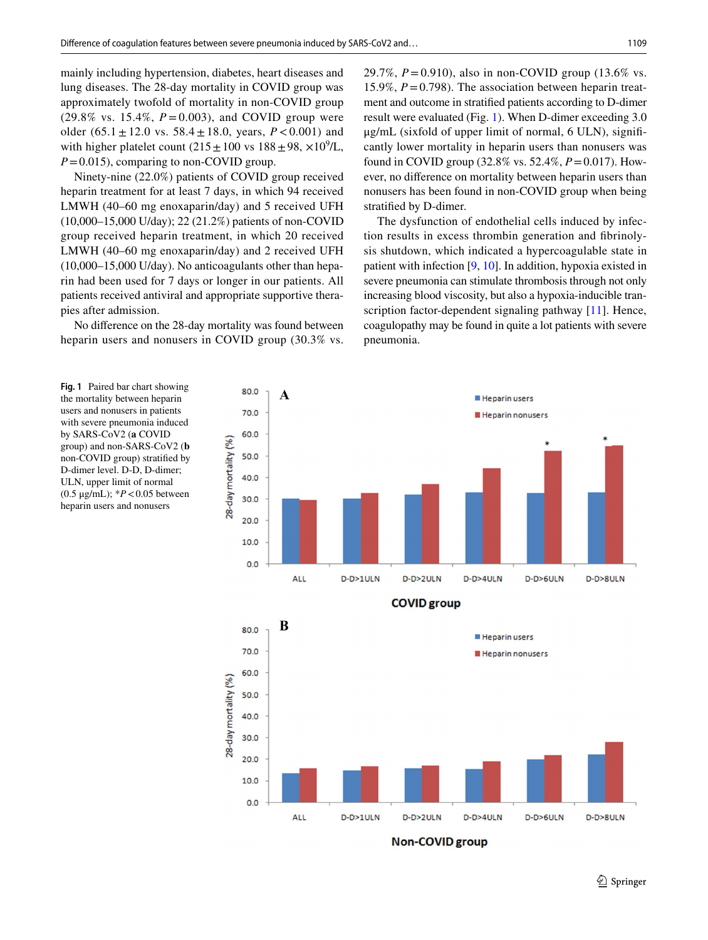mainly including hypertension, diabetes, heart diseases and lung diseases. The 28-day mortality in COVID group was approximately twofold of mortality in non-COVID group  $(29.8\% \text{ vs. } 15.4\%, P = 0.003)$ , and COVID group were older  $(65.1 \pm 12.0 \text{ vs. } 58.4 \pm 18.0, \text{ years}, P < 0.001)$  and with higher platelet count  $(215 \pm 100 \text{ vs } 188 \pm 98, \times 10^9/\text{L})$ , *P*=0.015), comparing to non-COVID group.

Ninety-nine (22.0%) patients of COVID group received heparin treatment for at least 7 days, in which 94 received LMWH (40–60 mg enoxaparin/day) and 5 received UFH (10,000–15,000 U/day); 22 (21.2%) patients of non-COVID group received heparin treatment, in which 20 received LMWH (40–60 mg enoxaparin/day) and 2 received UFH (10,000–15,000 U/day). No anticoagulants other than heparin had been used for 7 days or longer in our patients. All patients received antiviral and appropriate supportive therapies after admission.

No diference on the 28-day mortality was found between heparin users and nonusers in COVID group (30.3% vs.

29.7%, *P*=0.910), also in non-COVID group (13.6% vs. 15.9%, *P*=0.798). The association between heparin treatment and outcome in stratifed patients according to D-dimer result were evaluated (Fig. [1\)](#page-2-0). When D-dimer exceeding 3.0 μg/mL (sixfold of upper limit of normal, 6 ULN), signifcantly lower mortality in heparin users than nonusers was found in COVID group (32.8% vs. 52.4%, *P*=0.017). However, no diference on mortality between heparin users than nonusers has been found in non-COVID group when being stratifed by D-dimer.

The dysfunction of endothelial cells induced by infection results in excess thrombin generation and fbrinolysis shutdown, which indicated a hypercoagulable state in patient with infection [\[9](#page-3-7), [10](#page-3-8)]. In addition, hypoxia existed in severe pneumonia can stimulate thrombosis through not only increasing blood viscosity, but also a hypoxia-inducible transcription factor-dependent signaling pathway [[11\]](#page-3-9). Hence, coagulopathy may be found in quite a lot patients with severe pneumonia.

<span id="page-2-0"></span>**Fig. 1** Paired bar chart showing the mortality between heparin users and nonusers in patients with severe pneumonia induced by SARS-CoV2 (**a** COVID group) and non-SARS-CoV2 (**b** non-COVID group) stratifed by D-dimer level. D-D, D-dimer; ULN, upper limit of normal (0.5 μg/mL); \**P*<0.05 between heparin users and nonusers





 $\mathcal{D}$  Springer